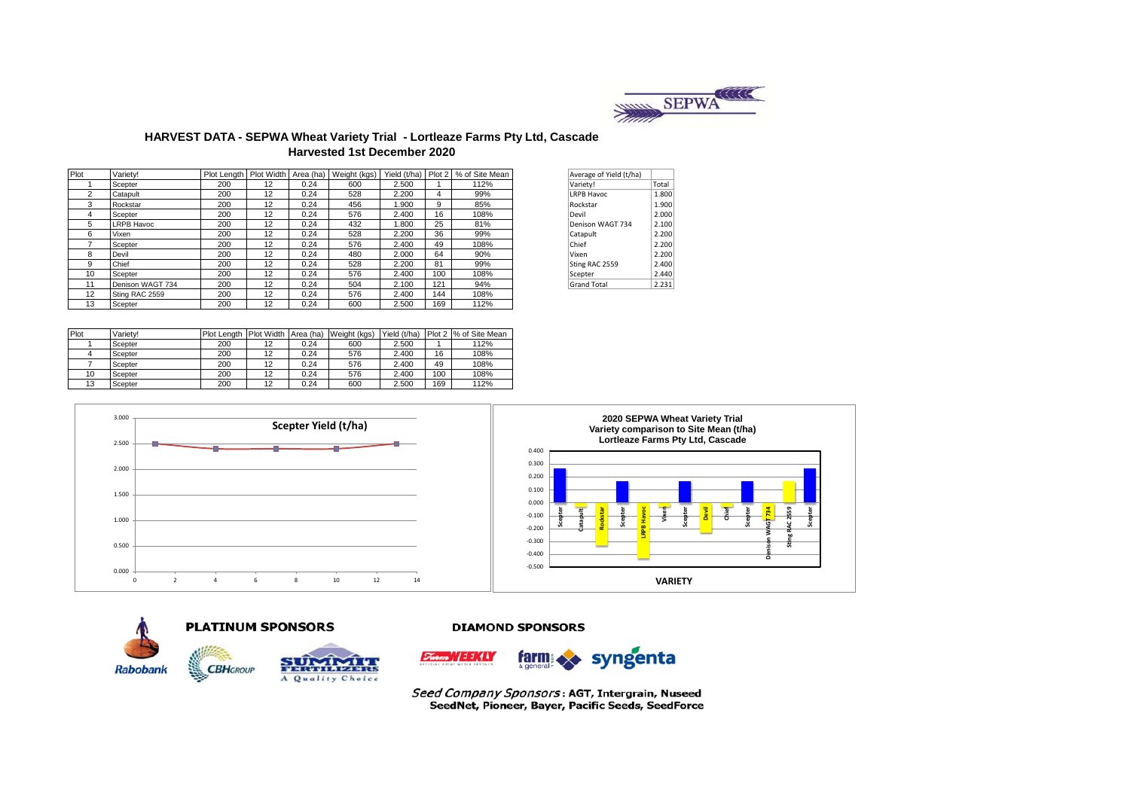

## **HARVEST DATA - SEPWA Wheat Variety Trial - Lortleaze Farms Pty Ltd, Cascade Harvested 1st December 2020**

| Plot | Variety!          |     |    |      | Plot Length   Plot Width   Area (ha)   Weight (kgs) |       |     | Yield (t/ha) Plot 2   % of Site Mean | Average of Yield (t/ha) |       |
|------|-------------------|-----|----|------|-----------------------------------------------------|-------|-----|--------------------------------------|-------------------------|-------|
|      | Scepter           | 200 | 12 | 0.24 | 600                                                 | 2.500 |     | 112%                                 | Variety!                | Total |
| 2    | Catapult          | 200 | 12 | 0.24 | 528                                                 | 2.200 | 4   | 99%                                  | <b>LRPB Havoc</b>       | 1.800 |
| 3    | Rockstar          | 200 | 12 | 0.24 | 456                                                 | 1.900 | 9   | 85%                                  | Rockstar                | 1.900 |
| 4    | Scepter           | 200 | 12 | 0.24 | 576                                                 | 2.400 | 16  | 108%                                 | Devil                   | 2.000 |
| 5    | <b>LRPB Havoc</b> | 200 | 12 | 0.24 | 432                                                 | 1.800 | 25  | 81%                                  | Denison WAGT 734        | 2.100 |
| 6    | Vixen             | 200 | 12 | 0.24 | 528                                                 | 2.200 | 36  | 99%                                  | Catapult                | 2.200 |
|      | Scepter           | 200 | 12 | 0.24 | 576                                                 | 2.400 | 49  | 108%                                 | Chief                   | 2.200 |
| 8    | Devil             | 200 | 12 | 0.24 | 480                                                 | 2.000 | 64  | 90%                                  | Vixen                   | 2.200 |
| 9    | Chief             | 200 | 12 | 0.24 | 528                                                 | 2.200 | 81  | 99%                                  | Sting RAC 2559          | 2.400 |
| 10   | Scepter           | 200 | 12 | 0.24 | 576                                                 | 2.400 | 100 | 108%                                 | Scepter                 | 2.440 |
| 11   | Denison WAGT 734  | 200 | 12 | 0.24 | 504                                                 | 2.100 | 121 | 94%                                  | <b>Grand Total</b>      | 2.231 |
| 12   | Sting RAC 2559    | 200 | 12 | 0.24 | 576                                                 | 2.400 | 144 | 108%                                 |                         |       |
| 13   | Scepter           | 200 | 12 | 0.24 | 600                                                 | 2.500 | 169 | 112%                                 |                         |       |

| Average of Yield (t/ha) |       |
|-------------------------|-------|
| Variety!                | Total |
| <b>LRPB Havoc</b>       | 1.800 |
| Rockstar                | 1.900 |
| Devil                   | 2.000 |
| Denison WAGT 734        | 2.100 |
| Catapult                | 2.200 |
| Chief                   | 2.200 |
| Vixen                   | 2.200 |
| Sting RAC 2559          | 2.400 |
| Scepter                 | 2.440 |
| <b>Grand Total</b>      | 2.231 |

| Plot | Variety! | Plot Lenath | <b>Plot Width</b> | Area (ha) | Weight (kgs) | Yield (t/ha) | Plot 2 | % of Site Mean |
|------|----------|-------------|-------------------|-----------|--------------|--------------|--------|----------------|
|      | Scepter  | 200         | 12                | 0.24      | 600          | 2.500        |        | 112%           |
|      | Scepter  | 200         | 12                | 0.24      | 576          | 2.400        | 16     | 108%           |
|      | Scepter  | 200         | 12                | 0.24      | 576          | 2.400        | 49     | 108%           |
| 10   | Scepter  | 200         | 12                | 0.24      | 576          | 2.400        | 100    | 108%           |
| 13   | Scepter  | 200         | 12                | 0.24      | 600          | 2.500        | 169    | 112%           |







#### **DIAMOND SPONSORS**



Seed Company Sponsors: AGT, Intergrain, Nuseed SeedNet, Pioneer, Bayer, Pacific Seeds, SeedForce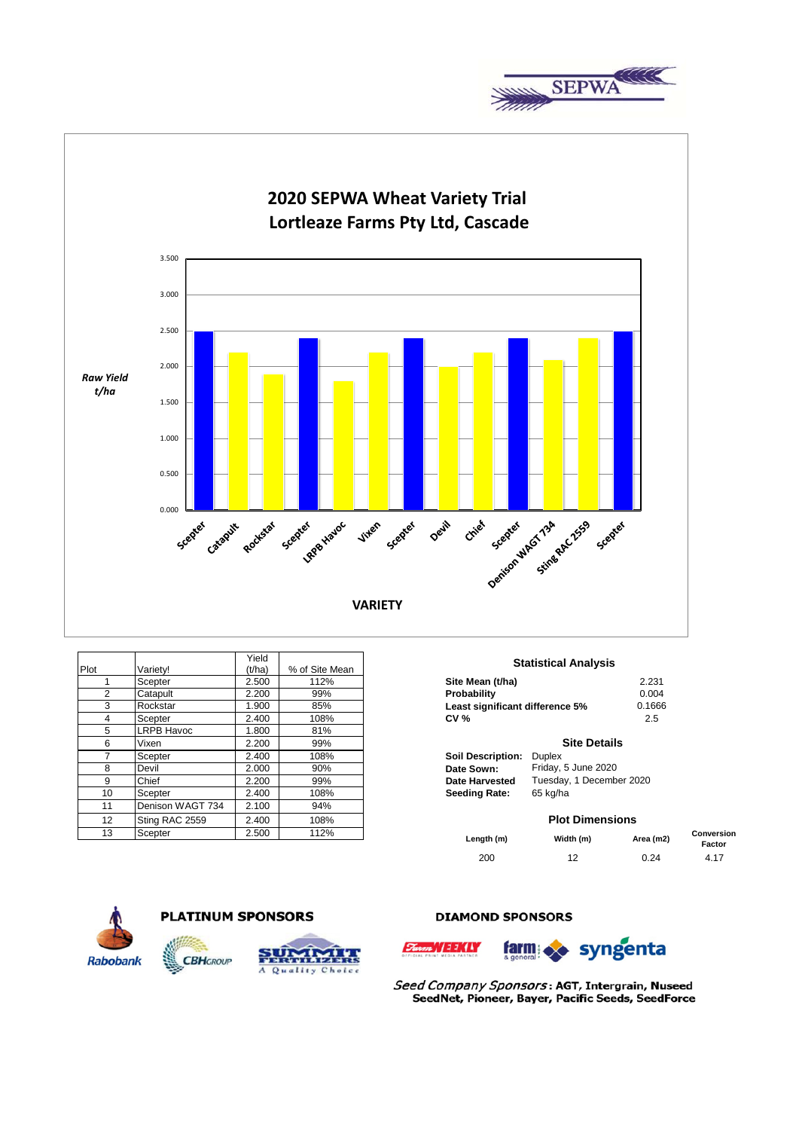



|                 |                   | Yield  |                |                                            |          |
|-----------------|-------------------|--------|----------------|--------------------------------------------|----------|
| Plot            | Variety!          | (t/ha) | % of Site Mean | <b>Statistical Analysis</b>                |          |
|                 | Scepter           | 2.500  | 112%           | Site Mean (t/ha)                           | 2.231    |
| $\overline{2}$  | Catapult          | 2.200  | 99%            | Probability                                | 0.004    |
| 3               | Rockstar          | 1.900  | 85%            | Least significant difference 5%            | 0.1666   |
| 4               | Scepter           | 2.400  | 108%           | CV <sub>0</sub>                            | 2.5      |
| 5               | <b>LRPB Havoc</b> | 1.800  | 81%            |                                            |          |
| 6               | Vixen             | 2.200  | 99%            | <b>Site Details</b>                        |          |
|                 | Scepter           | 2.400  | 108%           | <b>Soil Description:</b><br><b>Duplex</b>  |          |
| 8               | Devil             | 2.000  | 90%            | Friday, 5 June 2020<br>Date Sown:          |          |
| 9               | Chief             | 2.200  | 99%            | Tuesday, 1 December 2020<br>Date Harvested |          |
| 10              | Scepter           | 2.400  | 108%           | 65 kg/ha<br><b>Seeding Rate:</b>           |          |
| 11              | Denison WAGT 734  | 2.100  | 94%            |                                            |          |
| 12 <sup>2</sup> | Sting RAC 2559    | 2.400  | 108%           | <b>Plot Dimensions</b>                     |          |
| 13              | Scepter           | 2.500  | 112%           | $M1.444 \mu$<br>I amerika (ma)             | $A = -1$ |

#### **Statistical Analysis**

| Site Mean (t/ha)                | 2.231  |
|---------------------------------|--------|
| Probability                     | 0.004  |
| Least significant difference 5% | 0.1666 |
| <b>CV %</b>                     | 2.5    |
|                                 |        |

#### **Site Details**

#### **Plot Dimensions**

| Length (m) | Width (m) | Area (m2) | <b>Conversion</b><br>Factor |
|------------|-----------|-----------|-----------------------------|
| 200        | 12        | 0.24      | 4.17                        |





## **DIAMOND SPONSORS**





Seed Company Sponsors: AGT, Intergrain, Nuseed SeedNet, Pioneer, Bayer, Pacific Seeds, SeedForce